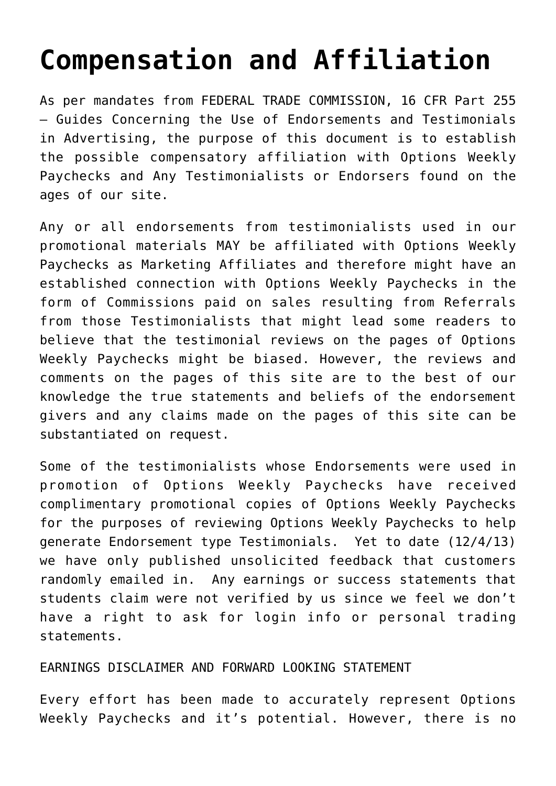## **[Compensation and Affiliation](https://optionsweeklypaychecks.com/contact/compensation-and-affiliation/)**

As per mandates from FEDERAL TRADE COMMISSION, 16 CFR Part 255 – Guides Concerning the Use of Endorsements and Testimonials in Advertising, the purpose of this document is to establish the possible compensatory affiliation with Options Weekly Paychecks and Any Testimonialists or Endorsers found on the ages of our site.

Any or all endorsements from testimonialists used in our promotional materials MAY be affiliated with Options Weekly Paychecks as Marketing Affiliates and therefore might have an established connection with Options Weekly Paychecks in the form of Commissions paid on sales resulting from Referrals from those Testimonialists that might lead some readers to believe that the testimonial reviews on the pages of Options Weekly Paychecks might be biased. However, the reviews and comments on the pages of this site are to the best of our knowledge the true statements and beliefs of the endorsement givers and any claims made on the pages of this site can be substantiated on request.

Some of the testimonialists whose Endorsements were used in promotion of Options Weekly Paychecks have received complimentary promotional copies of Options Weekly Paychecks for the purposes of reviewing Options Weekly Paychecks to help generate Endorsement type Testimonials. Yet to date (12/4/13) we have only published unsolicited feedback that customers randomly emailed in. Any earnings or success statements that students claim were not verified by us since we feel we don't have a right to ask for login info or personal trading statements.

## EARNINGS DISCLAIMER AND FORWARD LOOKING STATEMENT

Every effort has been made to accurately represent Options Weekly Paychecks and it's potential. However, there is no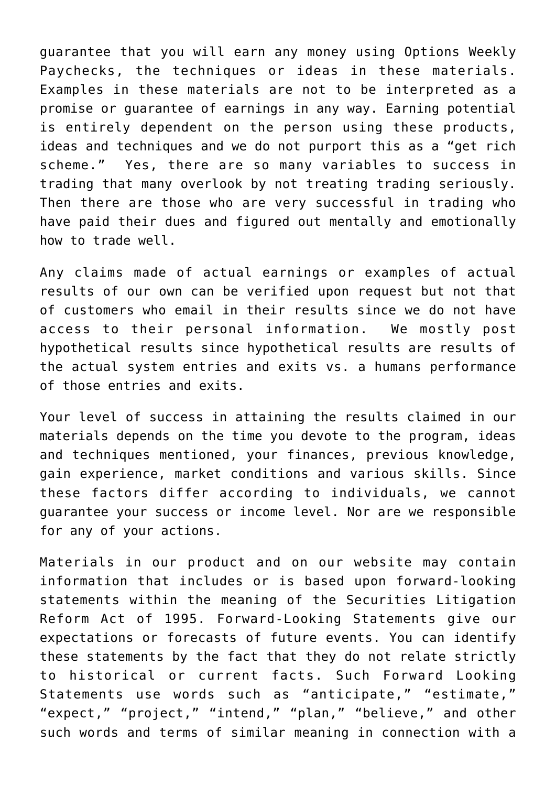guarantee that you will earn any money using Options Weekly Paychecks, the techniques or ideas in these materials. Examples in these materials are not to be interpreted as a promise or guarantee of earnings in any way. Earning potential is entirely dependent on the person using these products, ideas and techniques and we do not purport this as a "get rich scheme." Yes, there are so many variables to success in trading that many overlook by not treating trading seriously. Then there are those who are very successful in trading who have paid their dues and figured out mentally and emotionally how to trade well.

Any claims made of actual earnings or examples of actual results of our own can be verified upon request but not that of customers who email in their results since we do not have access to their personal information. We mostly post hypothetical results since hypothetical results are results of the actual system entries and exits vs. a humans performance of those entries and exits.

Your level of success in attaining the results claimed in our materials depends on the time you devote to the program, ideas and techniques mentioned, your finances, previous knowledge, gain experience, market conditions and various skills. Since these factors differ according to individuals, we cannot guarantee your success or income level. Nor are we responsible for any of your actions.

Materials in our product and on our website may contain information that includes or is based upon forward-looking statements within the meaning of the Securities Litigation Reform Act of 1995. Forward-Looking Statements give our expectations or forecasts of future events. You can identify these statements by the fact that they do not relate strictly to historical or current facts. Such Forward Looking Statements use words such as "anticipate," "estimate," "expect," "project," "intend," "plan," "believe," and other such words and terms of similar meaning in connection with a